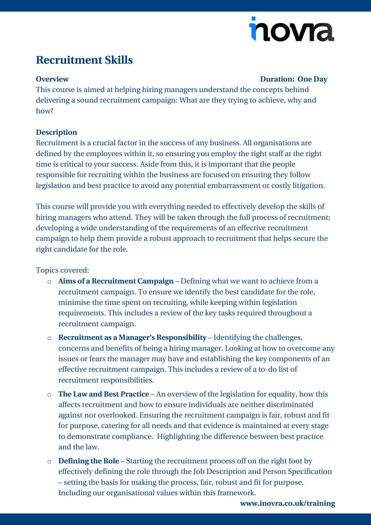# nova

### **Recruitment Skills**

#### **Overview Duration: One Day**

This course is aimed at helping hiring managers understand the concepts behind delivering a sound recruitment campaign: What are they trying to achieve, why and how?

#### **Description**

Recruitment is a crucial factor in the success of any business. All organisations are defined by the employees within it, so ensuring you employ the right staff at the right time is critical to your success. Aside from this, it is important that the people responsible for recruiting within the business are focused on ensuring they follow legislation and best practice to avoid any potential embarrassment or costly litigation.

This course will provide you with everything needed to effectively develop the skills of hiring managers who attend. They will be taken through the full process of recruitment; developing a wide understanding of the requirements of an effective recruitment campaign to help them provide a robust approach to recruitment that helps secure the right candidate for the role.

#### Topics covered:

- o **Aims of a Recruitment Campaign** Defining what we want to achieve from a recruitment campaign. To ensure we identify the best candidate for the role, minimise the time spent on recruiting, while keeping within legislation requirements. This includes a review of the key tasks required throughout a recruitment campaign.
- o **Recruitment as a Manager's Responsibility** Identifying the challenges, concerns and benefits of being a hiring manager. Looking at how to overcome any issues or fears the manager may have and establishing the key components of an effective recruitment campaign. This includes a review of a to-do list of recruitment responsibilities.
- o **The Law and Best Practice** An overview of the legislation for equality, how this affects recruitment and how to ensure individuals are neither discriminated against nor overlooked. Ensuring the recruitment campaign is fair, robust and fit for purpose, catering for all needs and that evidence is maintained at every stage to demonstrate compliance. Highlighting the difference between best practice and the law.
- o **Defining the Role** Starting the recruitment process off on the right foot by effectively defining the role through the Job Description and Person Specification – setting the basis for making the process, fair, robust and fit for purpose. Including our organisational values within this framework.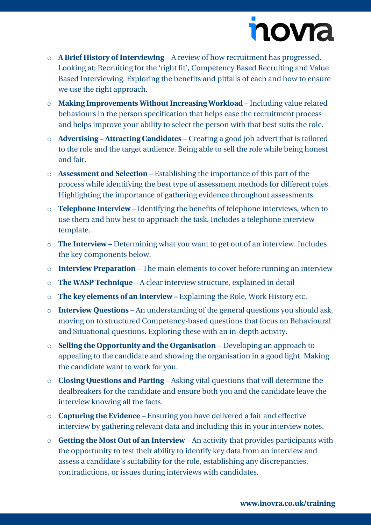# novia

- o **A Brief History of Interviewing** A review of how recruitment has progressed. Looking at; Recruiting for the 'right fit', Competency Based Recruiting and Value Based Interviewing. Exploring the benefits and pitfalls of each and how to ensure we use the right approach.
- o **Making Improvements Without Increasing Workload** Including value related behaviours in the person specification that helps ease the recruitment process and helps improve your ability to select the person with that best suits the role.
- o **Advertising – Attracting Candidates** Creating a good job advert that is tailored to the role and the target audience. Being able to sell the role while being honest and fair.
- o **Assessment and Selection** Establishing the importance of this part of the process while identifying the best type of assessment methods for different roles. Highlighting the importance of gathering evidence throughout assessments.
- o **Telephone Interview** Identifying the benefits of telephone interviews, when to use them and how best to approach the task. Includes a telephone interview template.
- o **The Interview** Determining what you want to get out of an interview. Includes the key components below.
- o **Interview Preparation** The main elements to cover before running an interview
- o **The WASP Technique** A clear interview structure, explained in detail
- o **The key elements of an interview –** Explaining the Role, Work History etc.
- o **Interview Questions** An understanding of the general questions you should ask, moving on to structured Competency-based questions that focus on Behavioural and Situational questions. Exploring these with an in-depth activity.
- o **Selling the Opportunity and the Organisation** Developing an approach to appealing to the candidate and showing the organisation in a good light. Making the candidate want to work for you.
- o **Closing Questions and Parting** Asking vital questions that will determine the dealbreakers for the candidate and ensure both you and the candidate leave the interview knowing all the facts.
- o **Capturing the Evidence** Ensuring you have delivered a fair and effective interview by gathering relevant data and including this in your interview notes.
- o **Getting the Most Out of an Interview** An activity that provides participants with the opportunity to test their ability to identify key data from an interview and assess a candidate's suitability for the role, establishing any discrepancies, contradictions, or issues during interviews with candidates.